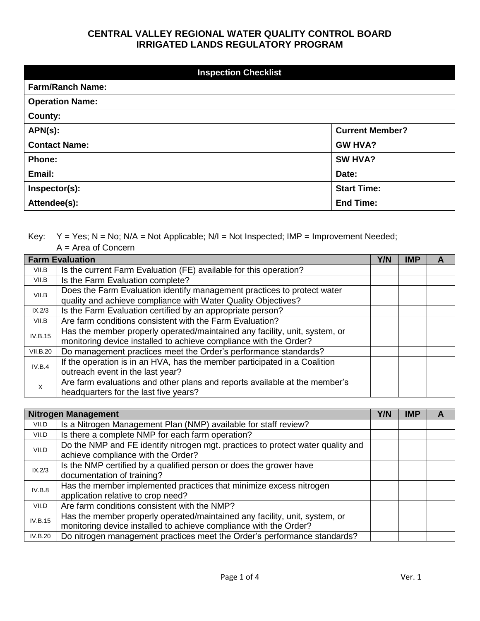|                         | <b>Inspection Checklist</b> |  |  |
|-------------------------|-----------------------------|--|--|
| <b>Farm/Ranch Name:</b> |                             |  |  |
| <b>Operation Name:</b>  |                             |  |  |
| County:                 |                             |  |  |
| $APN(s)$ :              | <b>Current Member?</b>      |  |  |
| <b>Contact Name:</b>    | <b>GW HVA?</b>              |  |  |
| Phone:                  | SW HVA?                     |  |  |
| Email:                  | Date:                       |  |  |
| Inspector(s):           | <b>Start Time:</b>          |  |  |
| Attendee(s):            | <b>End Time:</b>            |  |  |

Key:  $Y = Yes; N = No; N/A = Not Applicable; N/I = Not Inspected; IMP = Improvement Need;$ 

A = Area of Concern

|                 | <b>Farm Evaluation</b>                                                     | Y/N | IMP | A |
|-----------------|----------------------------------------------------------------------------|-----|-----|---|
| VII.B           | Is the current Farm Evaluation (FE) available for this operation?          |     |     |   |
| VII.B           | Is the Farm Evaluation complete?                                           |     |     |   |
| VII.B           | Does the Farm Evaluation identify management practices to protect water    |     |     |   |
|                 | quality and achieve compliance with Water Quality Objectives?              |     |     |   |
| IX.2/3          | Is the Farm Evaluation certified by an appropriate person?                 |     |     |   |
| VII.B           | Are farm conditions consistent with the Farm Evaluation?                   |     |     |   |
| <b>IV.B.15</b>  | Has the member properly operated/maintained any facility, unit, system, or |     |     |   |
|                 | monitoring device installed to achieve compliance with the Order?          |     |     |   |
| <b>VII.B.20</b> | Do management practices meet the Order's performance standards?            |     |     |   |
| IV.B.4          | If the operation is in an HVA, has the member participated in a Coalition  |     |     |   |
|                 | outreach event in the last year?                                           |     |     |   |
| X               | Are farm evaluations and other plans and reports available at the member's |     |     |   |
|                 | headquarters for the last five years?                                      |     |     |   |

|                | <b>Nitrogen Management</b>                                                      |  | <b>IMP</b> | A |
|----------------|---------------------------------------------------------------------------------|--|------------|---|
| VII.D          | Is a Nitrogen Management Plan (NMP) available for staff review?                 |  |            |   |
| VII.D          | Is there a complete NMP for each farm operation?                                |  |            |   |
| VII.D          | Do the NMP and FE identify nitrogen mgt. practices to protect water quality and |  |            |   |
|                | achieve compliance with the Order?                                              |  |            |   |
| IX.2/3         | Is the NMP certified by a qualified person or does the grower have              |  |            |   |
|                | documentation of training?                                                      |  |            |   |
| IV.B.8         | Has the member implemented practices that minimize excess nitrogen              |  |            |   |
|                | application relative to crop need?                                              |  |            |   |
| VII.D          | Are farm conditions consistent with the NMP?                                    |  |            |   |
| <b>IV.B.15</b> | Has the member properly operated/maintained any facility, unit, system, or      |  |            |   |
|                | monitoring device installed to achieve compliance with the Order?               |  |            |   |
| IV.B.20        | Do nitrogen management practices meet the Order's performance standards?        |  |            |   |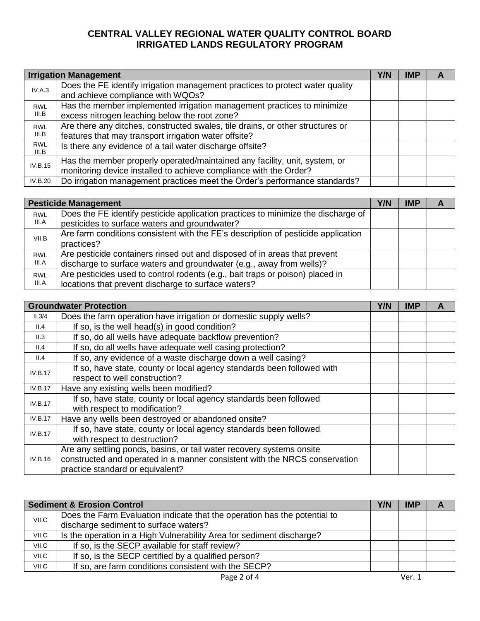|                     | <b>Irrigation Management</b>                                                                                                                    | Y/N | IMP | A |
|---------------------|-------------------------------------------------------------------------------------------------------------------------------------------------|-----|-----|---|
| IV.A.3              | Does the FE identify irrigation management practices to protect water quality<br>and achieve compliance with WQOs?                              |     |     |   |
| <b>RWL</b><br>III.B | Has the member implemented irrigation management practices to minimize<br>excess nitrogen leaching below the root zone?                         |     |     |   |
| <b>RWL</b><br>III.B | Are there any ditches, constructed swales, tile drains, or other structures or<br>features that may transport irrigation water offsite?         |     |     |   |
| <b>RWL</b><br>III.B | Is there any evidence of a tail water discharge offsite?                                                                                        |     |     |   |
| IV.B.15             | Has the member properly operated/maintained any facility, unit, system, or<br>monitoring device installed to achieve compliance with the Order? |     |     |   |
| IV.B.20             | Do irrigation management practices meet the Order's performance standards?                                                                      |     |     |   |

|            | <b>Pesticide Management</b>                                                       | Y/N | <b>IMP</b> |  |
|------------|-----------------------------------------------------------------------------------|-----|------------|--|
| <b>RWL</b> | Does the FE identify pesticide application practices to minimize the discharge of |     |            |  |
| III.A      | pesticides to surface waters and groundwater?                                     |     |            |  |
| VII.B      | Are farm conditions consistent with the FE's description of pesticide application |     |            |  |
|            | practices?                                                                        |     |            |  |
| <b>RWL</b> | Are pesticide containers rinsed out and disposed of in areas that prevent         |     |            |  |
| III.A      | discharge to surface waters and groundwater (e.g., away from wells)?              |     |            |  |
| <b>RWL</b> | Are pesticides used to control rodents (e.g., bait traps or poison) placed in     |     |            |  |
| III.A      | locations that prevent discharge to surface waters?                               |     |            |  |

|                | <b>Groundwater Protection</b>                                              | <b>Y/N</b> | <b>IMP</b> | A |
|----------------|----------------------------------------------------------------------------|------------|------------|---|
| II.3/4         | Does the farm operation have irrigation or domestic supply wells?          |            |            |   |
| II.4           | If so, is the well head(s) in good condition?                              |            |            |   |
| II.3           | If so, do all wells have adequate backflow prevention?                     |            |            |   |
| II.4           | If so, do all wells have adequate well casing protection?                  |            |            |   |
| II.4           | If so, any evidence of a waste discharge down a well casing?               |            |            |   |
| IV.B.17        | If so, have state, county or local agency standards been followed with     |            |            |   |
|                | respect to well construction?                                              |            |            |   |
| <b>IV.B.17</b> | Have any existing wells been modified?                                     |            |            |   |
| IV.B.17        | If so, have state, county or local agency standards been followed          |            |            |   |
|                | with respect to modification?                                              |            |            |   |
| <b>IV.B.17</b> | Have any wells been destroyed or abandoned onsite?                         |            |            |   |
| IV.B.17        | If so, have state, county or local agency standards been followed          |            |            |   |
|                | with respect to destruction?                                               |            |            |   |
| IV.B.16        | Are any settling ponds, basins, or tail water recovery systems onsite      |            |            |   |
|                | constructed and operated in a manner consistent with the NRCS conservation |            |            |   |
|                | practice standard or equivalent?                                           |            |            |   |

|       | <b>Sediment &amp; Erosion Control</b>                                     | Y/N | <b>IMP</b> |  |
|-------|---------------------------------------------------------------------------|-----|------------|--|
| VII.C | Does the Farm Evaluation indicate that the operation has the potential to |     |            |  |
|       | discharge sediment to surface waters?                                     |     |            |  |
| VII.C | Is the operation in a High Vulnerability Area for sediment discharge?     |     |            |  |
| VII.C | If so, is the SECP available for staff review?                            |     |            |  |
| VII.C | If so, is the SECP certified by a qualified person?                       |     |            |  |
| VII.C | If so, are farm conditions consistent with the SECP?                      |     |            |  |
|       | Page 2 of 4                                                               |     | Ver. 1     |  |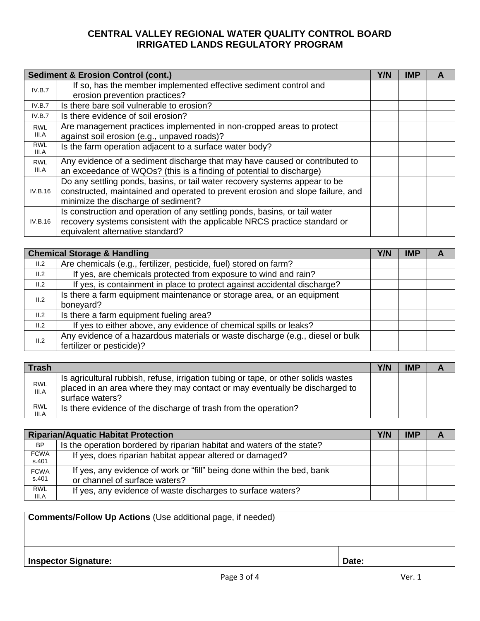|                     | <b>Sediment &amp; Erosion Control (cont.)</b>                                                                                                                                                       | Y/N | <b>IMP</b> |  |
|---------------------|-----------------------------------------------------------------------------------------------------------------------------------------------------------------------------------------------------|-----|------------|--|
| IV.B.7              | If so, has the member implemented effective sediment control and<br>erosion prevention practices?                                                                                                   |     |            |  |
| IV.B.7              | Is there bare soil vulnerable to erosion?                                                                                                                                                           |     |            |  |
| IV.B.7              | Is there evidence of soil erosion?                                                                                                                                                                  |     |            |  |
| <b>RWL</b><br>III.A | Are management practices implemented in non-cropped areas to protect<br>against soil erosion (e.g., unpaved roads)?                                                                                 |     |            |  |
| <b>RWL</b><br>III.A | Is the farm operation adjacent to a surface water body?                                                                                                                                             |     |            |  |
| <b>RWL</b><br>III.A | Any evidence of a sediment discharge that may have caused or contributed to<br>an exceedance of WQOs? (this is a finding of potential to discharge)                                                 |     |            |  |
| <b>IV.B.16</b>      | Do any settling ponds, basins, or tail water recovery systems appear to be<br>constructed, maintained and operated to prevent erosion and slope failure, and<br>minimize the discharge of sediment? |     |            |  |
| IV.B.16             | Is construction and operation of any settling ponds, basins, or tail water<br>recovery systems consistent with the applicable NRCS practice standard or<br>equivalent alternative standard?         |     |            |  |

|      | <b>Chemical Storage &amp; Handling</b>                                         | Y/N | <b>IMP</b> | $\mathbf{A}$ |
|------|--------------------------------------------------------------------------------|-----|------------|--------------|
| II.2 | Are chemicals (e.g., fertilizer, pesticide, fuel) stored on farm?              |     |            |              |
| II.2 | If yes, are chemicals protected from exposure to wind and rain?                |     |            |              |
| II.2 | If yes, is containment in place to protect against accidental discharge?       |     |            |              |
| II.2 | Is there a farm equipment maintenance or storage area, or an equipment         |     |            |              |
|      | boneyard?                                                                      |     |            |              |
| II.2 | Is there a farm equipment fueling area?                                        |     |            |              |
| II.2 | If yes to either above, any evidence of chemical spills or leaks?              |     |            |              |
| II.2 | Any evidence of a hazardous materials or waste discharge (e.g., diesel or bulk |     |            |              |
|      | fertilizer or pesticide)?                                                      |     |            |              |

| <b>Trash</b>        |                                                                                                                                                                                      | Y/N | <b>IMP</b> |  |
|---------------------|--------------------------------------------------------------------------------------------------------------------------------------------------------------------------------------|-----|------------|--|
| <b>RWL</b><br>III.A | Is agricultural rubbish, refuse, irrigation tubing or tape, or other solids wastes<br>placed in an area where they may contact or may eventually be discharged to<br>surface waters? |     |            |  |
| RWL<br>III.A        | Is there evidence of the discharge of trash from the operation?                                                                                                                      |     |            |  |

|                      | <b>Riparian/Aquatic Habitat Protection</b>                                                              | Y/N | <b>IMP</b> | А |
|----------------------|---------------------------------------------------------------------------------------------------------|-----|------------|---|
| <b>BP</b>            | Is the operation bordered by riparian habitat and waters of the state?                                  |     |            |   |
| FCWA<br>s.401        | If yes, does riparian habitat appear altered or damaged?                                                |     |            |   |
| <b>FCWA</b><br>s.401 | If yes, any evidence of work or "fill" being done within the bed, bank<br>or channel of surface waters? |     |            |   |
| <b>RWL</b><br>III.A  | If yes, any evidence of waste discharges to surface waters?                                             |     |            |   |

| <b>Comments/Follow Up Actions (Use additional page, if needed)</b> |  |  |  |
|--------------------------------------------------------------------|--|--|--|
| Date:<br><b>Inspector Signature:</b>                               |  |  |  |